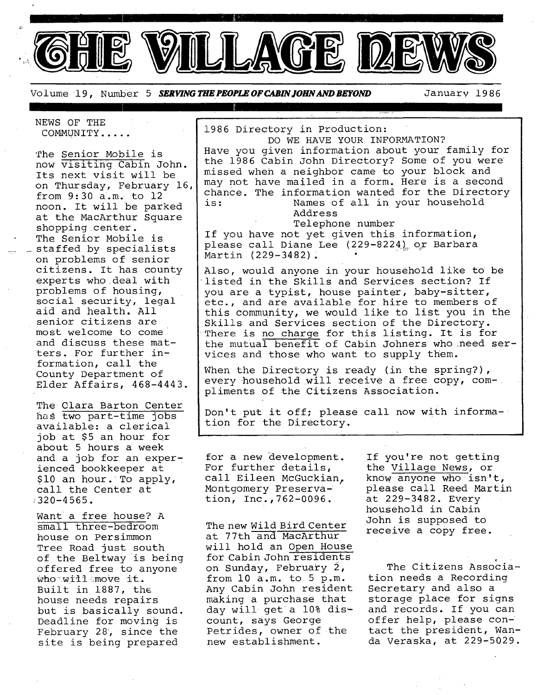

1986 Directory in Production:

Volume 19, Number 5 *SERVING THE PEOPLE OF CABIN JOHN AND BEYOND* January 1986

NEWS OF THE COMMUNITY .....

The Senior Mobile is now visiting Cabin John. Its next visit will be on Thursday, February 16, from 9:30 a.m. to 12 noon. It will be parked at the MacArthur Square shopping center. The Senior Mobile is staffed by specialists on problems of senior citizens. It has county experts who deal with problems of housing, social security, legal aid and health. All senior citizens are most welcome to come and discuss these matters. For further information, call the County Department of Elder Affairs, 468-4443.

The Clara Barton Center has two part-time jobs available: a clerical job at \$5 an hour for about 5 hours a week and a job for an experienced bookkeeper at \$i0 an hour. To apply, call the Center at  $:320 - 4565$ .

Want a free house? A small three-bedroom house on Persimmon Tree Road just south of the Beltway is being offered free to anyone Who~wi11~move it. Built in 1887, the house needs repairs but is basically sound. Deadline for moving is February 28, since the site is being prepared

DO WE HAVE YOUR INFORMATION? Have you given information about your family for the 1986 Cabin John Directory? Some of you were missed when a neighbor came to your block and may not have mailed in a form. Here is a second chance. The information wanted for the Directory is: Names of all in your household Address Telephone number If you have not yet given this information, please call Diane Lee (229-8224) or Barbara Martin (229-3482). Also, would anyone in your household like to be listed in the Skills and Services section? If you are a typist, house painter, baby-sitter, etc., and are available for hire to members of this community, we would like to list you in the Skills and Services section of the Directory. There is no charge for this listing. It is for the mutual benefit of Cabin Johners who need services and those who want to supply them.

When the Directory is ready (in the spring?), every household will receive a free copy, compliments of the Citizens Association.

Don't put it off; please call now with information for the Directory.

for a new development. For further details, call Eileen McGuckian. Montgomery Preservation, Inc.,762-0096.

The new Wild Bird Center at 77th and MacArthur will hold an Open House for Cabin John residents on Sunday, February 2, from i0 a.m. to 5 p.m. Any Cabin John resident making a purchase that day will get a 10% discount, says George Petrides, owner of the new establishment.

If you're not getting the Village News, or know anyone Who isn't, please call Reed Martin at 229-3482. Every household in Cabin John is supposed to receive a copy free.

c The Citizens Association needs a Recording Secretary and also a storage place for signs and records. If you can offer help, please contact the president, Wanda Veraska, at 229-5029.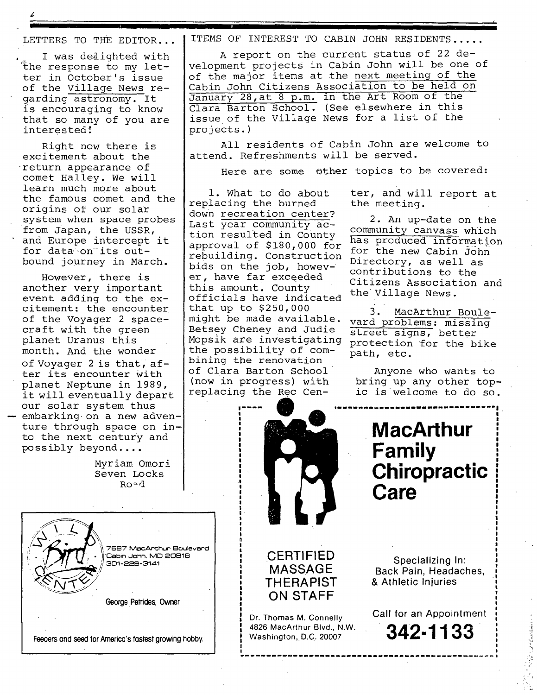LETTERS TO THE EDITOR...

I

. I was de&ighted with the response to my letter in October's issue of the Village News regarding astronomy. It is encouraging to know that so many of you are interested!

Right now there is excitement about the return appearance of comet Halley. We will learn much more about the famous comet and the origins of our solar system when space probes from Japan, the USSR, and Europe intercept it for data on its outbound journey in March.

However, there is another very important event adding to the excitement: the encounter of the Voyager 2 space-Craft with the green planet Uranus this month. And the wonder of Voyager 2 is that, after its encounter with planet Neptune in 1989, it will eventually depart our solar system thus embarking on a new adventure through space on into the next century and possibly beyond ....

> Myriam Omori Seven Locks Ro=d

7687 MacArthur Boulevard Cabin John, MD 20818 301-229-3141

**George Petrides,** Owner

Feeders and seed for **America's fastest growing** hobby.

ITEMS OF INTEREST TO CABIN JOHN RESIDENTS .....

**I** 

A report on the current status of 22 development projects in Cabin John will be one of of the major items at the next meeting of the Cabin John Citizens Association to be held on January 28,at 8 p.m. in the Art Room of the Clara Barton School. (See elsewhere in this issue of the Village News for a list of the projects.)

All residents of Cabin John are welcome to attend. Refreshments will be served.

Here are some other topics to be covered:

i. What to do about replacing the burned down recreation center? Last year community action resulted in County approval of \$180,000 for rebuilding. Construction bids on the job, however, have far exceeded this amount. County officials have indicated that up to \$250,000 3. MacArthur Boule-<br>might be made available. yard problems, migaing might be made available. vard problems: missing<br>Betsey Cheney and Judie street signs, better Betsey Cheney and Judie street signs, better<br>Mopsik are investigating protection for the h the possibility of combining the renovation of Clara Barton School (now in progress) with replacing the Rec Cen-

I was a strong of the state of the state of

**, CERTIFIED** <sup>I</sup> **'** <sup>|</sup>**MASSAGE** 

**, THERAPIST** !

**! ON STAFF** 

Dr. Thomas M. Connelly ~ 4826 MacArthur Blvd., N.W. Washington, D.C. 20007

I I I I I I I I I I I  $\blacksquare$ I .I I I I I I i' **It**  I

> 1 n I I

I

!

! I

> ! !

ter, and will report at the meeting.

2. An up-date on the community canvass which has produced information for the new Cabin John Directory, as well as contributions to the Citizens Association and the Village News.

protection for the bike path, etc.

Anyone who wants to bring up any other topic is welcome to do so.

# **MacArthur Family Chiropractic= Care**

!

I

r. l l I I I I I  $\mathbf{I}$ I I I a. l l l I .I

A:

Specializing In: Back Pain, Headaches, & Athletic Injuries

Call for an Appointment **342-1133**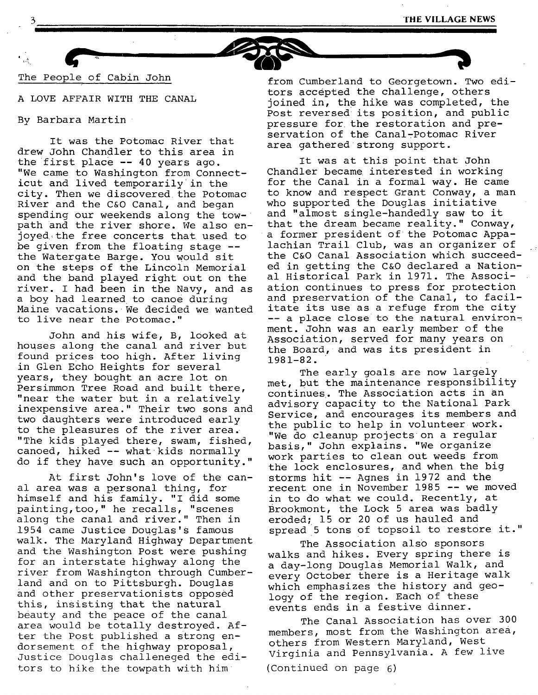

The People of Cabin John

A LOVE AFFAIR WITH THE CANAL

By Barbara Martin

It was the Potomac River that drew John Chandler to this area in the first place -- 40 years ago. "We came to Washington from Connecticut and lived temporarily in the city. Then we discovered the Potomac River and the C&O Canal, and began spending our weekends along the towpath and the river shore. We also enjoyed~the free concerts that used to be given from the floating stage - the Watergate Barge. You would sit on the steps of the Lincoln Memorial and the band played right out on the river. I had been in the Navy, and as a boy had learned to canoe during Maine vacations. We decided we wanted to live near the Potomac."

John and his wife, B, looked at houses along the canal and river but found prices too high. After living in Glen Echo Heights for several years, they bought an acre lot on Persimmon Tree Road and built there, "near the water but in a relatively inexpensive area." Their two sons and two daughters were introduced early to the pleasures of the river area. "The kids played there, swam, fished, canoed, hiked -- what kids normally do if they have such an opportunity."

At first John's love of the canal area was a personal thing, for himself and his family. "I did some painting, too," he recalls, "scenes along the canal and river." Then in 1954 came Justice Douglas's famous walk. The Maryland Highway Department and the Washington Post were pushing for an interstate highway along the river from Washington through Cumberland and on to Pittsburgh. Douglas and other preservationists opposed this, insisting that the natural beauty and the peace of the canal area would be totally destroyed. After the Post published a strong endorsement of the highway proposal, Justice Douglas challeneged the editors to hike the towpath with him

from Cumberland to Georgetown. Two editors accepted the challenge, others joined in, the hike was completed, the Post reversed its position, and public pressure for the restoration and preservation of the Canal-Potomac River area gathered strong support.

It was at this point that John Chandler became interested in working for the Canal in a formal way. He came to know and respect Grant Conway, a man who supported the Douglas initiative and "almost single-handedly saw to it that the dream became reality." Conway, a former president of the Potomac Appalachian Trail Club, was an organizer of the C&O Canal Association which succeeded in getting the C&O declared a National Historical Park in 1971. The Association continues to press for protection and preservation of the Canal, to facilitate its use as a refuge from the city -- a place close to the natural environment. John was an early member of the Association, served for many years on the Board, and was its president in 1981-82.

The early goals are now largely met, but the maintenance responsibility continues. The Association acts in an advisory capacity to the National Park Service, and encourages its members and the public to help in volunteer work. "We do cleanup projects on a regular basis," John explains. "We organize work parties to clean out weeds from the lock enclosures, and when the big storms hit -- Agnes in 1972 and the recent one in November 1985 -- we moved in to do what we could. Recently, at Brookmont, the Lock 5 area was badly eroded; 15 or 20 of us hauled and spread 5 tons of topsoil to restore it."

The Association also sponsors walks and hikes. Every spring there is a day-long Douglas Memorial Walk, and every October there is a Heritage walk which emphasizes the history and geology of the region. Each of these events ends in a festive dinner.

The Canal Association has over 300 members, most from the Washington area, others from Western Maryland, West Virginia and Pennsylvania. A few live

(Continued on page 6)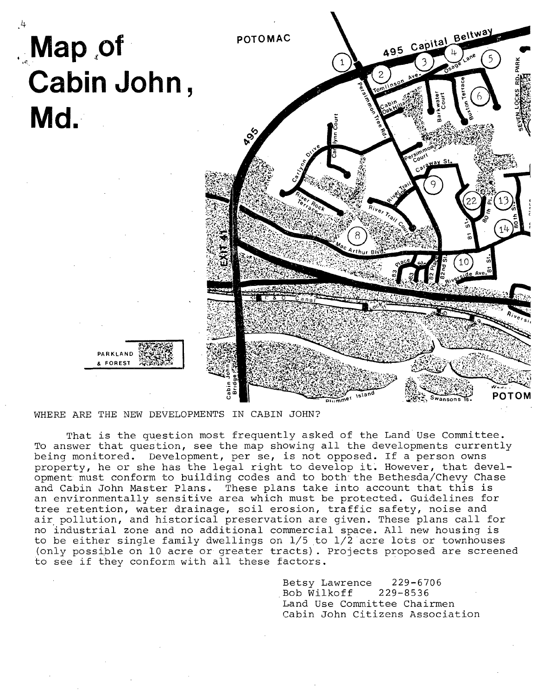

WHERE ARE THE NEW DEVELOPMENTS IN CABIN JOHN?

That is the question most frequently asked of the Land Use Committee. To answer that question, see the map showing all the developments currently being monitored. Development, per se, is not opposed. If a person owns property, he or she has the legal right to develop it. However, that development must conform to building codes and to both the Bethesda/Chevy Chase and Cabin John Master Plans. These plans take into account that this is an environmentally sensitive area which must be protected. Guidelines for tree retention, water drainage, soil erosion, traffic safety, noise and air pollution, and historical preservation are given. These plans call for no industrial zone and no additional commercial space. All new housing is to be either single family dwellings on 1/5 to i/2 acre lots or townhouses (only possible on i0 acre or greater tracts). Projects proposed are screened to see if they conform with all these factors.

> Betsy Lawrence 229-6706<br>Bob Wilkoff 229-8536 Bob Wilkoff Land Use Committee Chairmen Cabin John Citizens Association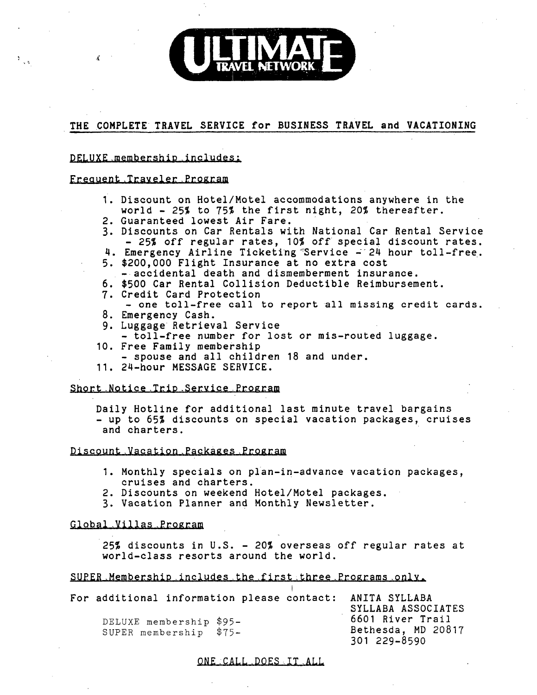### **THE COMPLETE TRAVEL SERVICE for BUSINESS TRAVEL and VACATIONING**

#### DELUXE membership includes:

#### Frequent Traveler Program

4

- I. Discount on Hotel/Motel accommodations anywhere in the world - 25% to 75% the first night, 20% thereafter.
- 2. Guaranteed lowest Air Fare.
- 3. Discounts on Car Rentals with National Car Rental Service - 25% off regular rates, 10% off special discount rates.
- 4. Emergency Airline Ticketing Service 24 hour toll-free. 5. \$200,000 Flight Insurance at no extra cost
- -accidental death and dismemberment insurance.
- 6. \$500 Car Rental Collision Deductible Reimbursement.
- 7. Credit Card Protection
- one toll-free call to report all missing credit cards. 8. Emergency Cash.
- 9. Luggage Retrieval Service
- toll-free number for lost or mis-routed luggage.
- 10. Free Family membership **-** spouse and all children 18 and under.
- 11. 24-hour MESSAGE SERVICE.

#### Short Notice.Trio.Service Program

Daily Hotline for additional last minute travel bargains - up to 65% discounts on special vacation packages, cruises and charters.

#### Discount Vacation Packages Program

- I. Monthly specials on plan-in-advance vacation packages, cruises and charters.
- 2. Discounts on weekend Hotel/Motel packages.
- 3. Vacation Planner and Monthly Newsletter.

#### Global Villas.Program

25% discounts in U.S. - 20% overseas off regular rates at world-class resorts around the world.

#### SUPER.Membership includes the first,three.Programs only.

| For additional information please contact: ANITA SYLLABA |  | SYLLABA ASSOCIATES                                     |
|----------------------------------------------------------|--|--------------------------------------------------------|
| DELUXE membership \$95-<br>SUPER membership \$75-        |  | 6601 River Trail<br>Bethesda, MD 20817<br>301 229-8590 |

ONE :CALL .DOES-.IT .ALL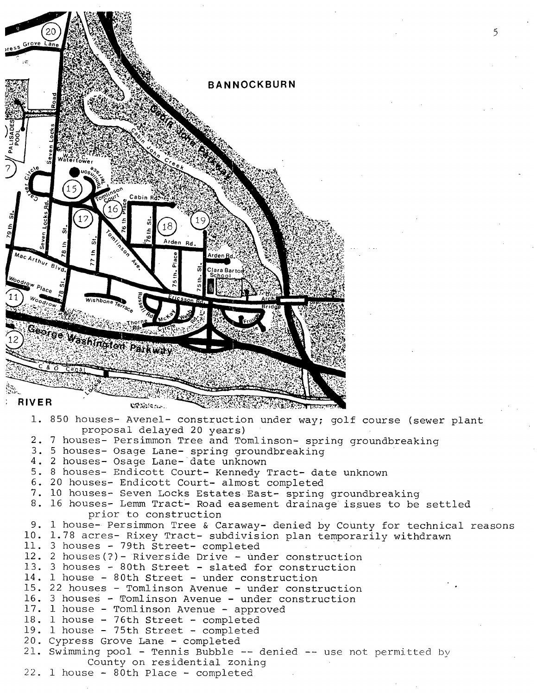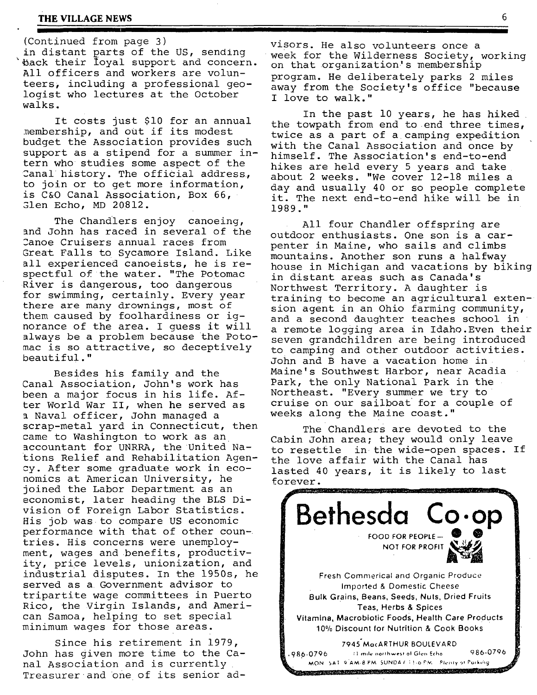#### **THE VILLAGE NEWS 6**

(Continued from page 3) visors. He also volunteers once a<br>in distant parts of the US, sending wheek for the Wilderness Society All officers and workers are volunteers, including a professional geologist who lectures at the October walks.

It costs just \$I0 for an annual membership, and out if its modest budget the Association provides such support as a stipend for a summer intern who studies some aspect of the Canal history. The official address, to join or to get more information, is C&O Canal Association, Box 66, Glen Echo, MD 20812.

The Chandlers enjoy canoeing, and John has raced in several of the 2anoe Cruisers annual races from Great Falls to Sycamore Island. Like all experienced canoeists, he is respectful of the water. "The Potomac River is dangerous, too dangerous for swimming, certainly. Every year there are many drownings, most of them caused by foolhardiness or ignorance of the area. I guess it will always be a problem because the Potomac is so attractive, so deceptively beautiful."

Besides his family and the Canal Association, John's work has been a major focus in his life. After World War II, when he served as a Naval officer, John managed a scrap-metal yard in Connecticut, then came to Washington to work as an accountant for UNRRA, the United Nations Relief and Rehabilitation Agency. After some graduate work in economics at American University, he joined the Labor Department as an economist, later heading the BLS Division of Foreign Labor Statistics. His job was to compare US economic performance with that of other countries. His concerns were unemployment, wages and benefits, productivity, price levels, unionization, and industrial disputes. In the 1950s, he served as a Government advisor to tripartite wage committees in Puerto Rico, the Virgin Islands, and American Samoa, helping to set special minimum wages for those areas.

Since his retirement in 1979, John has given more time to the Canal Association and is currently Treasurer and one of its senior ad-

in distant parts of the US, sending week for the Wilderness Society, working<br>Back their loyal support and concern. On that organization's membership on that organization's membership program. He deliberately parks 2 miles away from the Society's office "because I love to walk."

> In the past i0 years, he has hiked the towpath from end to end three times, twice as a part of a camping expedition with the Canal Association and once by himself. The Association's end-to-end hikes are held every 5 years and take about 2 weeks. "We cover 12-18 miles a day and usually 40 or so people complete it. The next end-to-end hike will be in 1989."

All four Chandler offspring are outdoor enthusiasts. One son is a carpenter in Maine, who sails and climbs mountains. Another son runs a halfway house in Michigan and vacations by biking in distant areas such as Canada's Northwest Territory. A daughter is training to become an agricultural extension agent in an Ohio farming community, and a second daughter teaches school in a remote logging area in Idaho.Even their seven grandchildren are being introduced to camping and other outdoor activities. John and B have a vacation home in Maine's Southwest Harbor, near Acadia Park, the only National Park in the Northeast. "Every summer we try to cruise on our sailboat for a couple of weeks along the Maine coast."

The Chandlers are devoted to the Cabin John area; they would only leave to resettle in the wide-open spaces. If the love affair with the Canal has lasted 40 years, it is likely to last forever.

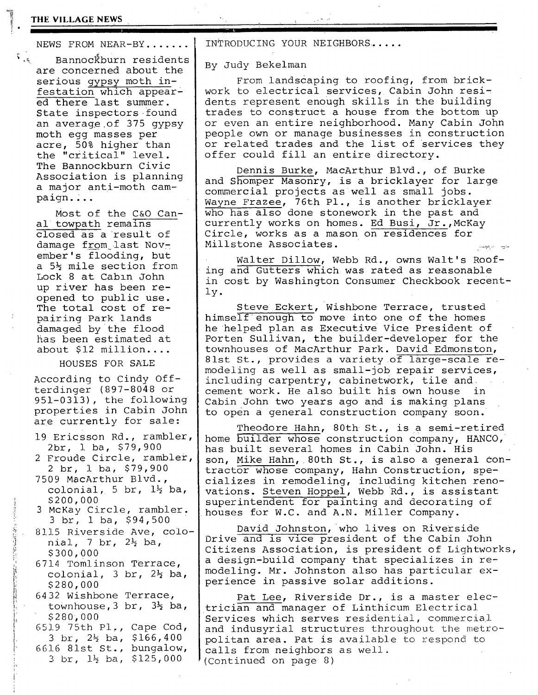#### **THE VILLAGE** NEWS ~'. .......

NEWS FROM NEAR-BY......

 $\mathfrak{h}_{\mathfrak{p}_k}$  Bannoc $\mathfrak{F}$ burn residents are concerned about the serious gypsy moth infestation which appeared there last summer. State inspectors found an average of 375 gypsy moth egg masses per acre, 50% higher than the "critical" level. The Bannockburn Civic Association is planning a major anti-moth campaign....

> Most of the C&O Canal towpath remains closed as a result of damage from last November's flooding, but a 5% mile section from Lock 8 at Cabln John up river has been reopened to public use. The total cost of repairing Park lands damaged by the flood has been estimated at about \$12 million....

> > HOUSES FOR SALE

According to Cindy Offterdinger (897-8048 or 951-0313), the following properties in Cabin John are currently for sale:

- 19 Ericsson Rd., rambler, 2br, i ba, \$79,900
- 2 Froude Circle, rambler, 2 br, 1 ha, \$79,900
- 7509 MacArthur Blvd., colonial, 5 br,  $1\frac{1}{2}$  ba, \$20O,OO0
- 3 McKay Circle, rambler. 3 br, 1 ba, \$94,500
- 8115 Riverside Ave, colo-~ nial, 7 br, 2½ ba,  $$300,000$
- 6714 Tomlinson Terrace, colonial, 3 br,  $2\frac{1}{2}$  ba,  $$280,000$

6432 Wishbone Terrace, townhouse,  $3$  br,  $3\frac{1}{2}$  ba, r \$280,000

i 65].9 75th PI,, Cape Cod,  $\frac{1}{2}$  3 br, 2½ ba, \$166,400  $\lvert \cdot \rvert$  661.6 81st St., bungalow, 3 br, 1½ ba, \$125,000

INTRODUCING YOUR NEIGHBORS ......

By Judy Bekelman

From landscaping to roofing, from brickwork to electrical services, Cabin John residents represent enough skills in the building trades to construct a house from the bottom up or even an entire neighborhood. Many Cabin John people own or manage businesses in construction or related trades and the list of services they offer could fill an entire directory.

Dennis Burke, MacArthur Blvd., of Burke and Shomper Masonry, is a bricklayer for large commercial projects as well as small jobs. Wayne Frazee, 76th PI., is another bricklayer who has also done stonework in the past and currently works on homes. Ed Busi, Jr.,McKay Circle, works as a mason on residences for Millstone Associates.

Walter Dillow, Webb Rd., owns Walt's Roofing and Gutters which was rated as reasonable in cost by Washington Consumer Checkbook recently.

Steve Eckert, Wishbone Terrace, trusted himself enough to move into one of the homes he helped plan as Executive Vice President of Porten Sullivan, the builder-developer for the townhouses of MacArthur Park. David Edmonston, 81st St., provides a variety of large-scale remodeling as well as small-job repair services, including carpentry, cabinetwork, tile and cement work. He also built his own house in Cabin John two years ago and is making plans to open a general construction company soon.

Theodore Hahn, 80th St., is a semi-retired home builder whose construction company, HANCO, has built several homes in Cabin John. His son, Mike Hahn, 80th St., is also a general contractor whose company, Hahn Construction, specializes in remodeling, including kitchen renovations. Steven Hoppel, Webb Rd., is assistant superintendent for painting and decorating of houses for W.C. and A.N. Miller Company.

David Johnston, who lives on Riverside Drive and is vice president of the Cabin John Citizens Association, is president of Lightworks, a design-build company that specializes in remodeling. Mr. Johnston also has particular experience in passive solar additions.

Pat Lee, Riverside Dr., is a master electrician and manager of Linthicum Electrical Services which serves residential, commercial and indusyrial structures throughout the metropolitan area. Pat is available to respond to calls from neighbors as well. (Continued on page 8)

 $\mathbf{1}$ 

**i**